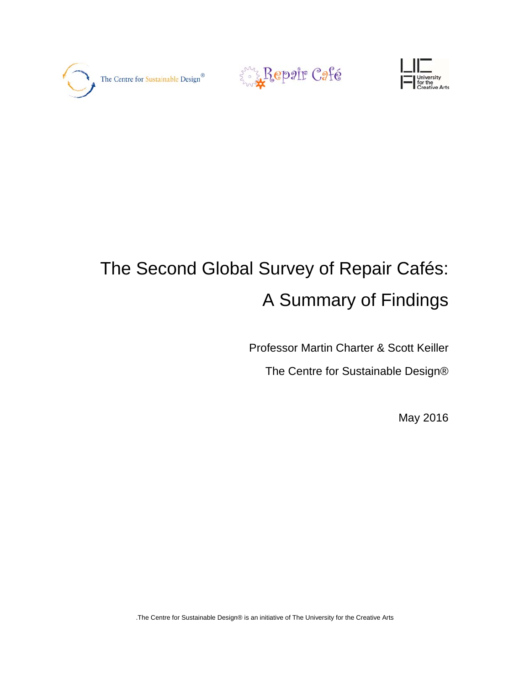





# The Second Global Survey of Repair Cafés: A Summary of Findings

Professor Martin Charter & Scott Keiller

The Centre for Sustainable Design®

May 2016

.The Centre for Sustainable Design® is an initiative of The University for the Creative Arts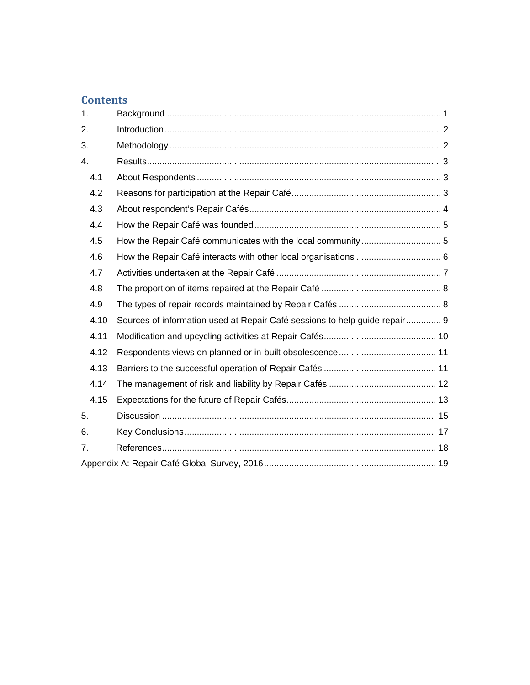# **Contents**

| 1.   |                                                                            |  |
|------|----------------------------------------------------------------------------|--|
| 2.   |                                                                            |  |
| 3.   |                                                                            |  |
| 4.   |                                                                            |  |
| 4.1  |                                                                            |  |
| 4.2  |                                                                            |  |
| 4.3  |                                                                            |  |
| 4.4  |                                                                            |  |
| 4.5  | How the Repair Café communicates with the local community  5               |  |
| 4.6  |                                                                            |  |
| 4.7  |                                                                            |  |
| 4.8  |                                                                            |  |
| 4.9  |                                                                            |  |
| 4.10 | Sources of information used at Repair Café sessions to help guide repair 9 |  |
| 4.11 |                                                                            |  |
| 4.12 |                                                                            |  |
| 4.13 |                                                                            |  |
| 4.14 |                                                                            |  |
| 4.15 |                                                                            |  |
| 5.   |                                                                            |  |
| 6.   |                                                                            |  |
| 7.   |                                                                            |  |
|      |                                                                            |  |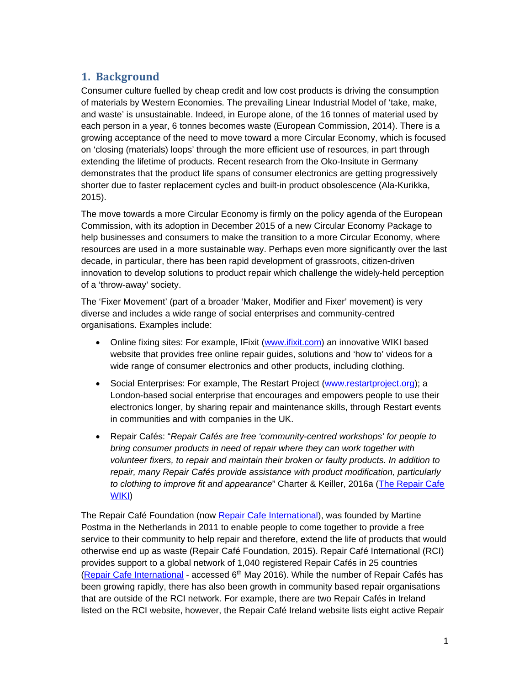# **1. Background**

Consumer culture fuelled by cheap credit and low cost products is driving the consumption of materials by Western Economies. The prevailing Linear Industrial Model of 'take, make, and waste' is unsustainable. Indeed, in Europe alone, of the 16 tonnes of material used by each person in a year, 6 tonnes becomes waste (European Commission, 2014). There is a growing acceptance of the need to move toward a more Circular Economy, which is focused on 'closing (materials) loops' through the more efficient use of resources, in part through extending the lifetime of products. Recent research from the Oko-Insitute in Germany demonstrates that the product life spans of consumer electronics are getting progressively shorter due to faster replacement cycles and built-in product obsolescence (Ala-Kurikka, 2015).

The move towards a more Circular Economy is firmly on the policy agenda of the European Commission, with its adoption in December 2015 of a new Circular Economy Package to help businesses and consumers to make the transition to a more Circular Economy, where resources are used in a more sustainable way. Perhaps even more significantly over the last decade, in particular, there has been rapid development of grassroots, citizen-driven innovation to develop solutions to product repair which challenge the widely-held perception of a 'throw-away' society.

The 'Fixer Movement' (part of a broader 'Maker, Modifier and Fixer' movement) is very diverse and includes a wide range of social enterprises and community-centred organisations. Examples include:

- Online fixing sites: For example, IFixit (www.ifixit.com) an innovative WIKI based website that provides free online repair guides, solutions and 'how to' videos for a wide range of consumer electronics and other products, including clothing.
- Social Enterprises: For example, The Restart Project (www.restartproject.org); a London-based social enterprise that encourages and empowers people to use their electronics longer, by sharing repair and maintenance skills, through Restart events in communities and with companies in the UK.
- Repair Cafés: "*Repair Cafés are free 'community-centred workshops' for people to bring consumer products in need of repair where they can work together with volunteer fixers, to repair and maintain their broken or faulty products. In addition to repair, many Repair Cafés provide assistance with product modification, particularly to clothing to improve fit and appearance*" Charter & Keiller, 2016a (The Repair Cafe WIKI)

The Repair Café Foundation (now Repair Cafe International), was founded by Martine Postma in the Netherlands in 2011 to enable people to come together to provide a free service to their community to help repair and therefore, extend the life of products that would otherwise end up as waste (Repair Café Foundation, 2015). Repair Café International (RCI) provides support to a global network of 1,040 registered Repair Cafés in 25 countries (Repair Cafe International - accessed  $6<sup>th</sup>$  May 2016). While the number of Repair Cafés has been growing rapidly, there has also been growth in community based repair organisations that are outside of the RCI network. For example, there are two Repair Cafés in Ireland listed on the RCI website, however, the Repair Café Ireland website lists eight active Repair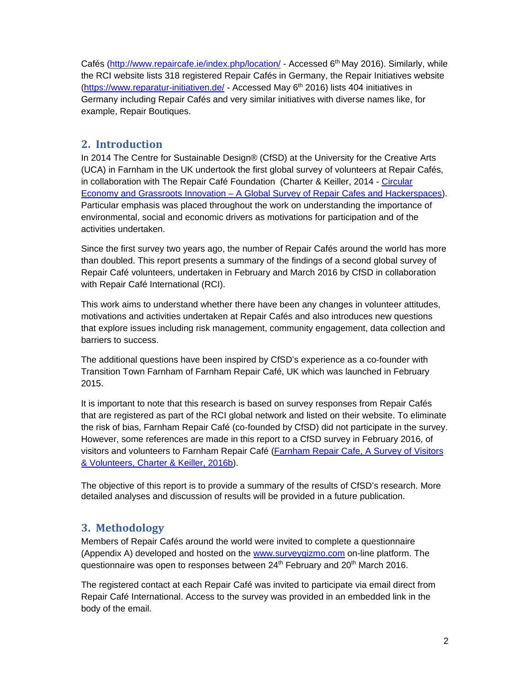Cafés (http://www.repaircafe.ie/index.php/location/ - Accessed 6th May 2016). Similarly, while the RCI website lists 318 registered Repair Cafés in Germany, the Repair Initiatives website (https://www.reparatur-initiativen.de/ - Accessed May 6<sup>th</sup> 2016) lists 404 initiatives in Germany including Repair Cafés and very similar initiatives with diverse names like, for example, Repair Boutiques.

## **2. Introduction**

In 2014 The Centre for Sustainable Design® (CfSD) at the University for the Creative Arts (UCA) in Farnham in the UK undertook the first global survey of volunteers at Repair Cafés, in collaboration with The Repair Café Foundation (Charter & Keiller, 2014 - Circular Economy and Grassroots Innovation – A Global Survey of Repair Cafes and Hackerspaces). Particular emphasis was placed throughout the work on understanding the importance of environmental, social and economic drivers as motivations for participation and of the activities undertaken.

Since the first survey two years ago, the number of Repair Cafés around the world has more than doubled. This report presents a summary of the findings of a second global survey of Repair Café volunteers, undertaken in February and March 2016 by CfSD in collaboration with Repair Café International (RCI).

This work aims to understand whether there have been any changes in volunteer attitudes, motivations and activities undertaken at Repair Cafés and also introduces new questions that explore issues including risk management, community engagement, data collection and barriers to success.

The additional questions have been inspired by CfSD's experience as a co-founder with Transition Town Farnham of Farnham Repair Café, UK which was launched in February 2015.

It is important to note that this research is based on survey responses from Repair Cafés that are registered as part of the RCI global network and listed on their website. To eliminate the risk of bias, Farnham Repair Café (co-founded by CfSD) did not participate in the survey. However, some references are made in this report to a CfSD survey in February 2016, of visitors and volunteers to Farnham Repair Café (Farnham Repair Cafe, A Survey of Visitors & Volunteers, Charter & Keiller, 2016b).

The objective of this report is to provide a summary of the results of CfSD's research. More detailed analyses and discussion of results will be provided in a future publication.

# **3. Methodology**

Members of Repair Cafés around the world were invited to complete a questionnaire (Appendix A) developed and hosted on the www.surveygizmo.com on-line platform. The questionnaire was open to responses between 24<sup>th</sup> February and 20<sup>th</sup> March 2016.

The registered contact at each Repair Café was invited to participate via email direct from Repair Café International. Access to the survey was provided in an embedded link in the body of the email.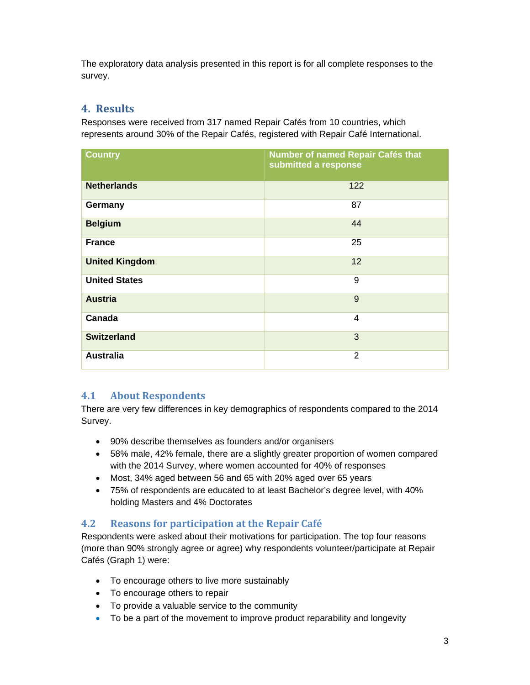The exploratory data analysis presented in this report is for all complete responses to the survey.

# **4. Results**

Responses were received from 317 named Repair Cafés from 10 countries, which represents around 30% of the Repair Cafés, registered with Repair Café International.

| <b>Country</b>        | Number of named Repair Cafés that<br>submitted a response |
|-----------------------|-----------------------------------------------------------|
| <b>Netherlands</b>    | 122                                                       |
| Germany               | 87                                                        |
| <b>Belgium</b>        | 44                                                        |
| <b>France</b>         | 25                                                        |
| <b>United Kingdom</b> | 12                                                        |
| <b>United States</b>  | 9                                                         |
| <b>Austria</b>        | 9                                                         |
| Canada                | 4                                                         |
| <b>Switzerland</b>    | 3                                                         |
| <b>Australia</b>      | $\overline{2}$                                            |

# **4.1 About Respondents**

There are very few differences in key demographics of respondents compared to the 2014 Survey.

- 90% describe themselves as founders and/or organisers
- 58% male, 42% female, there are a slightly greater proportion of women compared with the 2014 Survey, where women accounted for 40% of responses
- Most, 34% aged between 56 and 65 with 20% aged over 65 years
- 75% of respondents are educated to at least Bachelor's degree level, with 40% holding Masters and 4% Doctorates

#### **4.2 Reasons for participation at the Repair Café**

Respondents were asked about their motivations for participation. The top four reasons (more than 90% strongly agree or agree) why respondents volunteer/participate at Repair Cafés (Graph 1) were:

- To encourage others to live more sustainably
- To encourage others to repair
- To provide a valuable service to the community
- To be a part of the movement to improve product reparability and longevity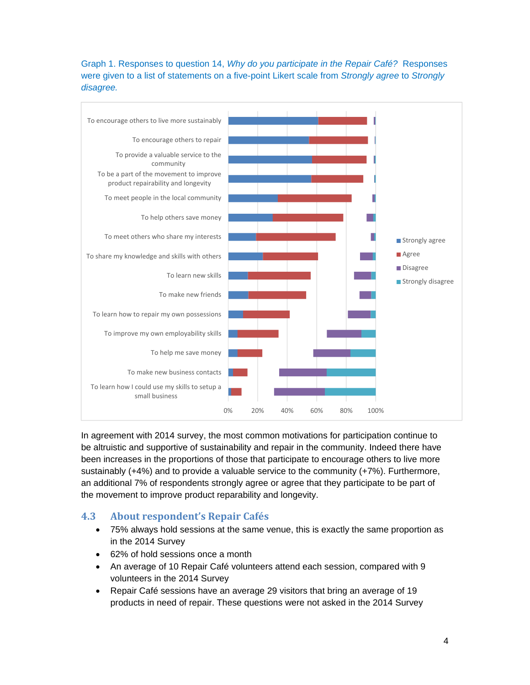#### Graph 1. Responses to question 14, *Why do you participate in the Repair Café?* Responses were given to a list of statements on a five-point Likert scale from *Strongly agree* to *Strongly disagree.*



In agreement with 2014 survey, the most common motivations for participation continue to be altruistic and supportive of sustainability and repair in the community. Indeed there have been increases in the proportions of those that participate to encourage others to live more sustainably (+4%) and to provide a valuable service to the community (+7%). Furthermore, an additional 7% of respondents strongly agree or agree that they participate to be part of the movement to improve product reparability and longevity.

#### **4.3 About respondent's Repair Cafés**

- 75% always hold sessions at the same venue, this is exactly the same proportion as in the 2014 Survey
- 62% of hold sessions once a month
- An average of 10 Repair Café volunteers attend each session, compared with 9 volunteers in the 2014 Survey
- Repair Café sessions have an average 29 visitors that bring an average of 19 products in need of repair. These questions were not asked in the 2014 Survey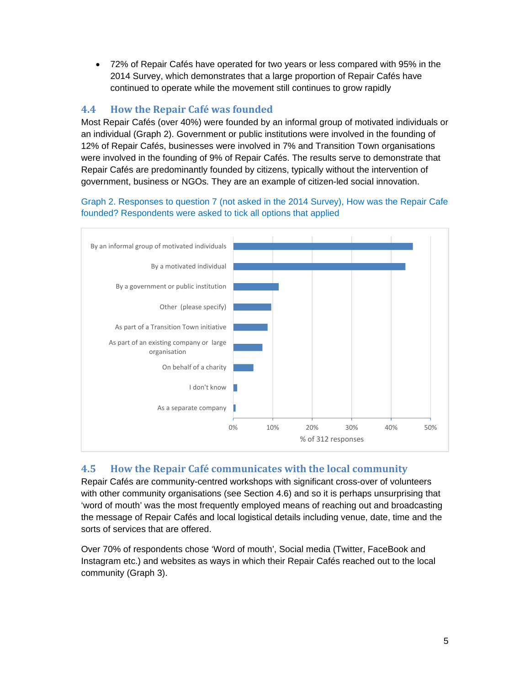72% of Repair Cafés have operated for two years or less compared with 95% in the 2014 Survey, which demonstrates that a large proportion of Repair Cafés have continued to operate while the movement still continues to grow rapidly

# **4.4 How the Repair Café was founded**

Most Repair Cafés (over 40%) were founded by an informal group of motivated individuals or an individual (Graph 2). Government or public institutions were involved in the founding of 12% of Repair Cafés, businesses were involved in 7% and Transition Town organisations were involved in the founding of 9% of Repair Cafés. The results serve to demonstrate that Repair Cafés are predominantly founded by citizens, typically without the intervention of government, business or NGOs. They are an example of citizen-led social innovation.

Graph 2. Responses to question 7 (not asked in the 2014 Survey), How was the Repair Cafe founded? Respondents were asked to tick all options that applied



# **4.5 How the Repair Café communicates with the local community**

Repair Cafés are community-centred workshops with significant cross-over of volunteers with other community organisations (see Section 4.6) and so it is perhaps unsurprising that 'word of mouth' was the most frequently employed means of reaching out and broadcasting the message of Repair Cafés and local logistical details including venue, date, time and the sorts of services that are offered.

Over 70% of respondents chose 'Word of mouth', Social media (Twitter, FaceBook and Instagram etc.) and websites as ways in which their Repair Cafés reached out to the local community (Graph 3).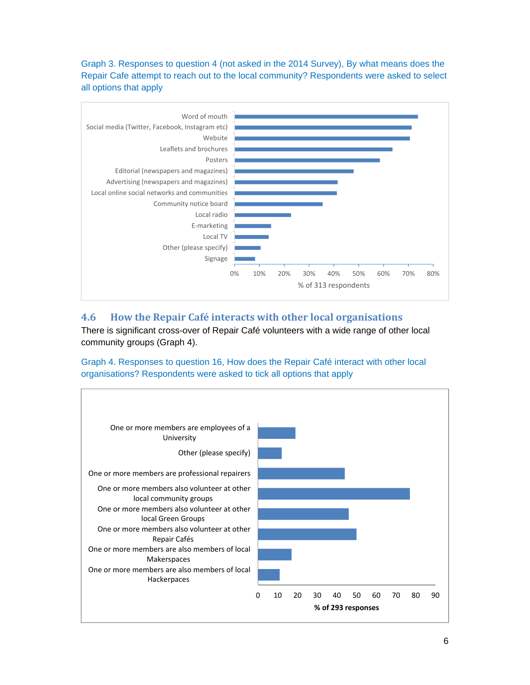Graph 3. Responses to question 4 (not asked in the 2014 Survey), By what means does the Repair Cafe attempt to reach out to the local community? Respondents were asked to select all options that apply



# **4.6 How the Repair Café interacts with other local organisations**

There is significant cross-over of Repair Café volunteers with a wide range of other local community groups (Graph 4).

Graph 4. Responses to question 16, How does the Repair Café interact with other local organisations? Respondents were asked to tick all options that apply

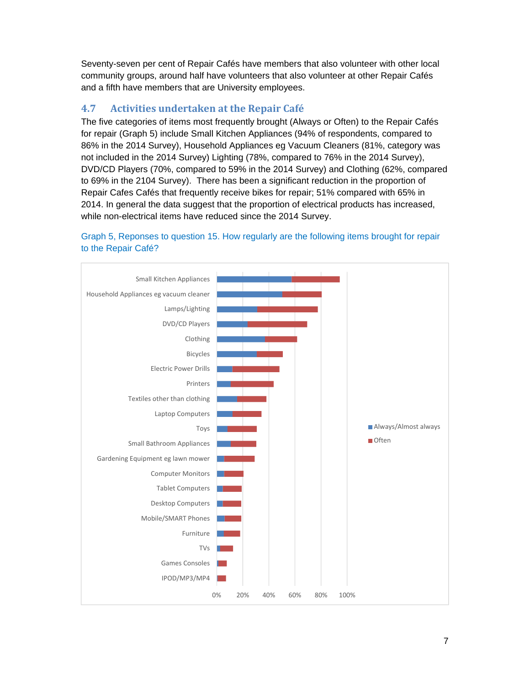Seventy-seven per cent of Repair Cafés have members that also volunteer with other local community groups, around half have volunteers that also volunteer at other Repair Cafés and a fifth have members that are University employees.

# **4.7 Activities undertaken at the Repair Café**

The five categories of items most frequently brought (Always or Often) to the Repair Cafés for repair (Graph 5) include Small Kitchen Appliances (94% of respondents, compared to 86% in the 2014 Survey), Household Appliances eg Vacuum Cleaners (81%, category was not included in the 2014 Survey) Lighting (78%, compared to 76% in the 2014 Survey), DVD/CD Players (70%, compared to 59% in the 2014 Survey) and Clothing (62%, compared to 69% in the 2104 Survey). There has been a significant reduction in the proportion of Repair Cafes Cafés that frequently receive bikes for repair; 51% compared with 65% in 2014. In general the data suggest that the proportion of electrical products has increased, while non-electrical items have reduced since the 2014 Survey.



#### Graph 5, Reponses to question 15. How regularly are the following items brought for repair to the Repair Café?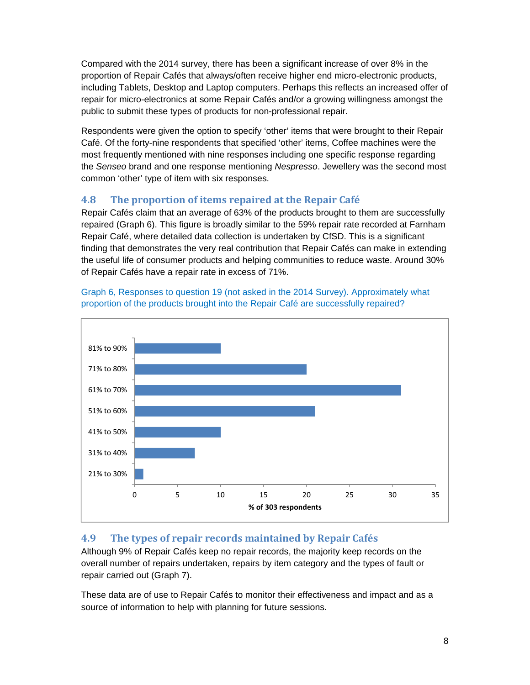Compared with the 2014 survey, there has been a significant increase of over 8% in the proportion of Repair Cafés that always/often receive higher end micro-electronic products, including Tablets, Desktop and Laptop computers. Perhaps this reflects an increased offer of repair for micro-electronics at some Repair Cafés and/or a growing willingness amongst the public to submit these types of products for non-professional repair.

Respondents were given the option to specify 'other' items that were brought to their Repair Café. Of the forty-nine respondents that specified 'other' items, Coffee machines were the most frequently mentioned with nine responses including one specific response regarding the *Senseo* brand and one response mentioning *Nespresso*. Jewellery was the second most common 'other' type of item with six responses.

# **4.8 The proportion of items repaired at the Repair Café**

Repair Cafés claim that an average of 63% of the products brought to them are successfully repaired (Graph 6). This figure is broadly similar to the 59% repair rate recorded at Farnham Repair Café, where detailed data collection is undertaken by CfSD. This is a significant finding that demonstrates the very real contribution that Repair Cafés can make in extending the useful life of consumer products and helping communities to reduce waste. Around 30% of Repair Cafés have a repair rate in excess of 71%.



Graph 6, Responses to question 19 (not asked in the 2014 Survey). Approximately what proportion of the products brought into the Repair Café are successfully repaired?

# **4.9 The types of repair records maintained by Repair Cafés**

Although 9% of Repair Cafés keep no repair records, the majority keep records on the overall number of repairs undertaken, repairs by item category and the types of fault or repair carried out (Graph 7).

These data are of use to Repair Cafés to monitor their effectiveness and impact and as a source of information to help with planning for future sessions.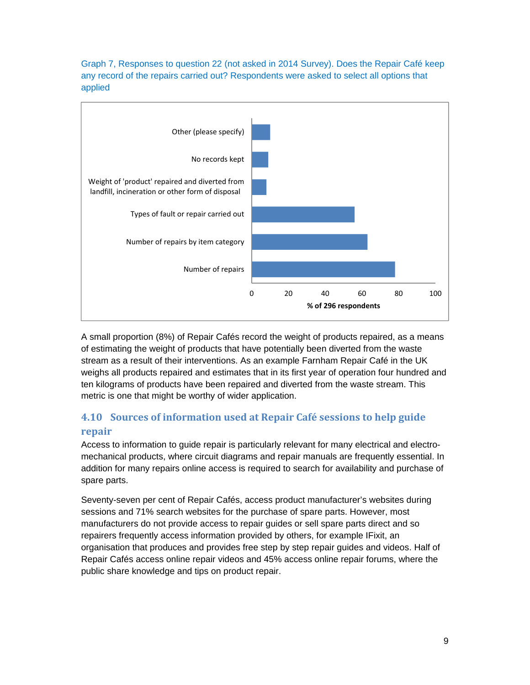Graph 7, Responses to question 22 (not asked in 2014 Survey). Does the Repair Café keep any record of the repairs carried out? Respondents were asked to select all options that applied



A small proportion (8%) of Repair Cafés record the weight of products repaired, as a means of estimating the weight of products that have potentially been diverted from the waste stream as a result of their interventions. As an example Farnham Repair Café in the UK weighs all products repaired and estimates that in its first year of operation four hundred and ten kilograms of products have been repaired and diverted from the waste stream. This metric is one that might be worthy of wider application.

# **4.10 Sources of information used at Repair Café sessions to help guide repair**

Access to information to guide repair is particularly relevant for many electrical and electromechanical products, where circuit diagrams and repair manuals are frequently essential. In addition for many repairs online access is required to search for availability and purchase of spare parts.

Seventy-seven per cent of Repair Cafés, access product manufacturer's websites during sessions and 71% search websites for the purchase of spare parts. However, most manufacturers do not provide access to repair guides or sell spare parts direct and so repairers frequently access information provided by others, for example IFixit, an organisation that produces and provides free step by step repair guides and videos. Half of Repair Cafés access online repair videos and 45% access online repair forums, where the public share knowledge and tips on product repair.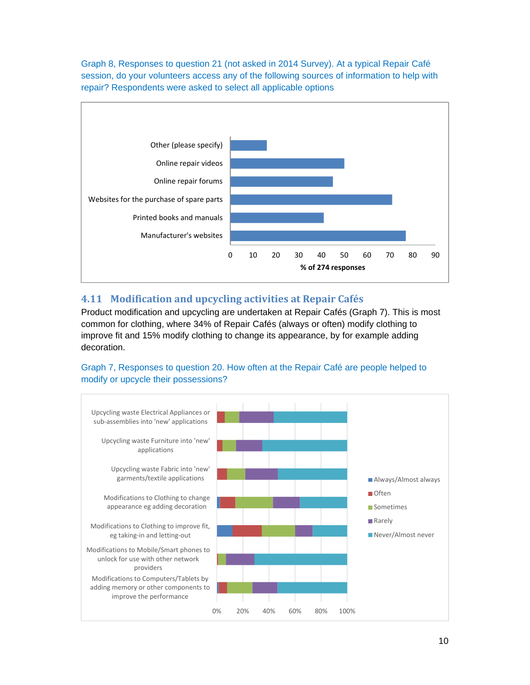Graph 8, Responses to question 21 (not asked in 2014 Survey). At a typical Repair Café session, do your volunteers access any of the following sources of information to help with repair? Respondents were asked to select all applicable options



# **4.11 Modification and upcycling activities at Repair Cafés**

Product modification and upcycling are undertaken at Repair Cafés (Graph 7). This is most common for clothing, where 34% of Repair Cafés (always or often) modify clothing to improve fit and 15% modify clothing to change its appearance, by for example adding decoration.



Graph 7, Responses to question 20. How often at the Repair Café are people helped to modify or upcycle their possessions?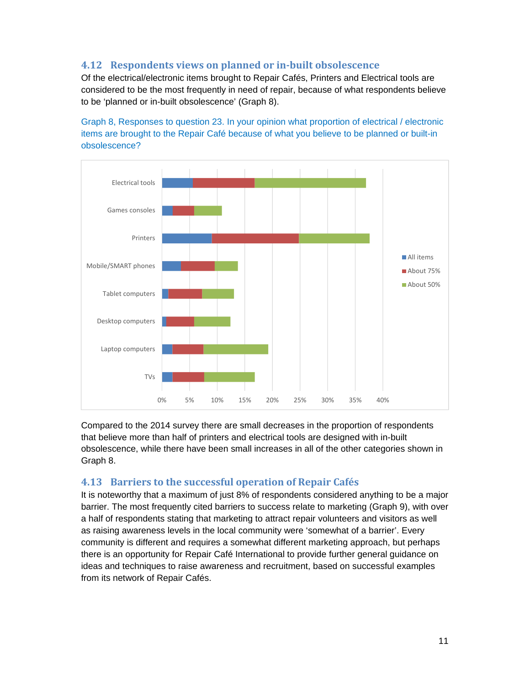# **4.12 Respondents views on planned or in‐built obsolescence**

Of the electrical/electronic items brought to Repair Cafés, Printers and Electrical tools are considered to be the most frequently in need of repair, because of what respondents believe to be 'planned or in-built obsolescence' (Graph 8).

Graph 8, Responses to question 23. In your opinion what proportion of electrical / electronic items are brought to the Repair Café because of what you believe to be planned or built-in obsolescence?



Compared to the 2014 survey there are small decreases in the proportion of respondents that believe more than half of printers and electrical tools are designed with in-built obsolescence, while there have been small increases in all of the other categories shown in Graph 8.

#### **4.13 Barriers to the successful operation of Repair Cafés**

It is noteworthy that a maximum of just 8% of respondents considered anything to be a major barrier. The most frequently cited barriers to success relate to marketing (Graph 9), with over a half of respondents stating that marketing to attract repair volunteers and visitors as well as raising awareness levels in the local community were 'somewhat of a barrier'. Every community is different and requires a somewhat different marketing approach, but perhaps there is an opportunity for Repair Café International to provide further general guidance on ideas and techniques to raise awareness and recruitment, based on successful examples from its network of Repair Cafés.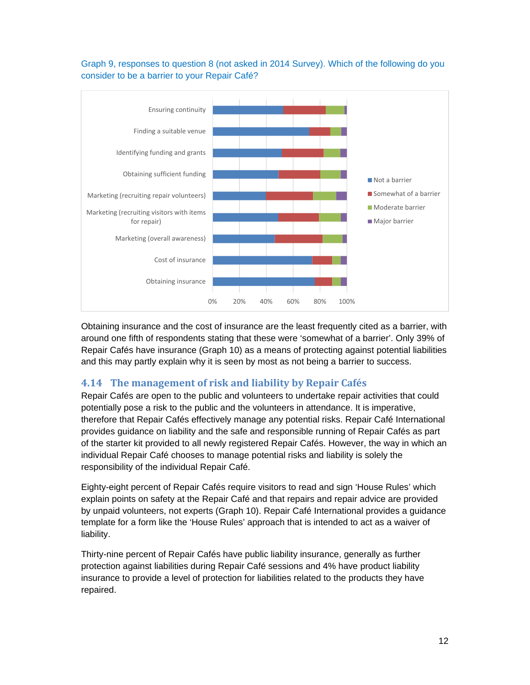#### Graph 9, responses to question 8 (not asked in 2014 Survey). Which of the following do you consider to be a barrier to your Repair Café?



Obtaining insurance and the cost of insurance are the least frequently cited as a barrier, with around one fifth of respondents stating that these were 'somewhat of a barrier'. Only 39% of Repair Cafés have insurance (Graph 10) as a means of protecting against potential liabilities and this may partly explain why it is seen by most as not being a barrier to success.

# **4.14 The management of risk and liability by Repair Cafés**

Repair Cafés are open to the public and volunteers to undertake repair activities that could potentially pose a risk to the public and the volunteers in attendance. It is imperative, therefore that Repair Cafés effectively manage any potential risks. Repair Café International provides guidance on liability and the safe and responsible running of Repair Cafés as part of the starter kit provided to all newly registered Repair Cafés. However, the way in which an individual Repair Café chooses to manage potential risks and liability is solely the responsibility of the individual Repair Café.

Eighty-eight percent of Repair Cafés require visitors to read and sign 'House Rules' which explain points on safety at the Repair Café and that repairs and repair advice are provided by unpaid volunteers, not experts (Graph 10). Repair Café International provides a guidance template for a form like the 'House Rules' approach that is intended to act as a waiver of liability.

Thirty-nine percent of Repair Cafés have public liability insurance, generally as further protection against liabilities during Repair Café sessions and 4% have product liability insurance to provide a level of protection for liabilities related to the products they have repaired.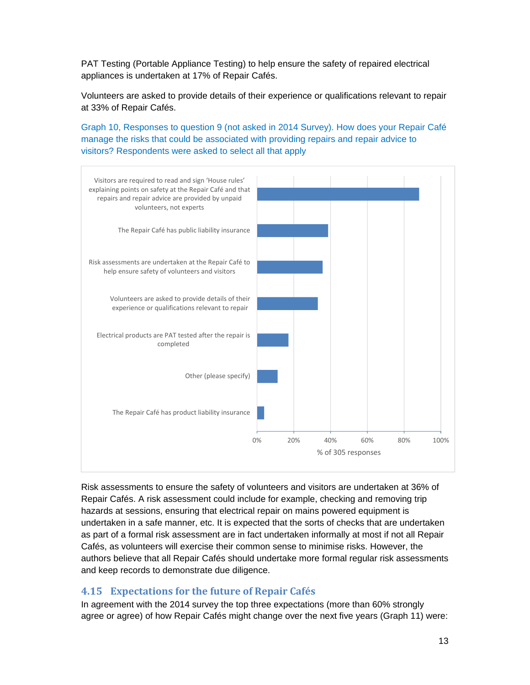PAT Testing (Portable Appliance Testing) to help ensure the safety of repaired electrical appliances is undertaken at 17% of Repair Cafés.

Volunteers are asked to provide details of their experience or qualifications relevant to repair at 33% of Repair Cafés.

Graph 10, Responses to question 9 (not asked in 2014 Survey). How does your Repair Café manage the risks that could be associated with providing repairs and repair advice to visitors? Respondents were asked to select all that apply



Risk assessments to ensure the safety of volunteers and visitors are undertaken at 36% of Repair Cafés. A risk assessment could include for example, checking and removing trip hazards at sessions, ensuring that electrical repair on mains powered equipment is undertaken in a safe manner, etc. It is expected that the sorts of checks that are undertaken as part of a formal risk assessment are in fact undertaken informally at most if not all Repair Cafés, as volunteers will exercise their common sense to minimise risks. However, the authors believe that all Repair Cafés should undertake more formal regular risk assessments and keep records to demonstrate due diligence.

#### **4.15 Expectations for the future of Repair Cafés**

In agreement with the 2014 survey the top three expectations (more than 60% strongly agree or agree) of how Repair Cafés might change over the next five years (Graph 11) were: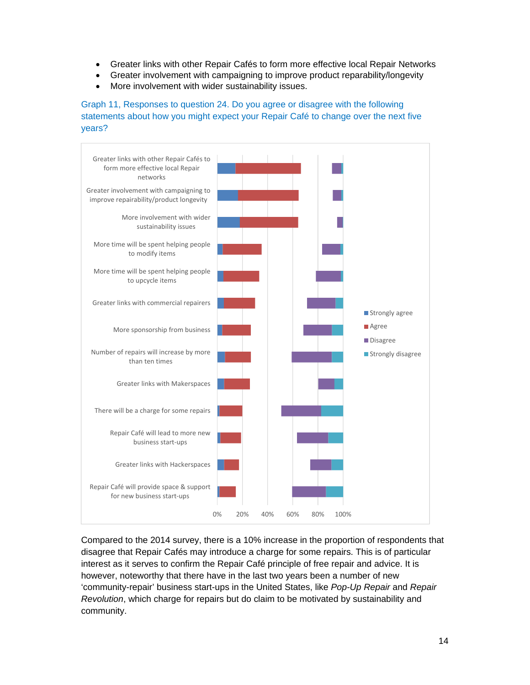- Greater links with other Repair Cafés to form more effective local Repair Networks
- Greater involvement with campaigning to improve product reparability/longevity
- More involvement with wider sustainability issues.

Graph 11, Responses to question 24. Do you agree or disagree with the following statements about how you might expect your Repair Café to change over the next five years?



Compared to the 2014 survey, there is a 10% increase in the proportion of respondents that disagree that Repair Cafés may introduce a charge for some repairs. This is of particular interest as it serves to confirm the Repair Café principle of free repair and advice. It is however, noteworthy that there have in the last two years been a number of new 'community-repair' business start-ups in the United States, like *Pop-Up Repair* and *Repair Revolution*, which charge for repairs but do claim to be motivated by sustainability and community.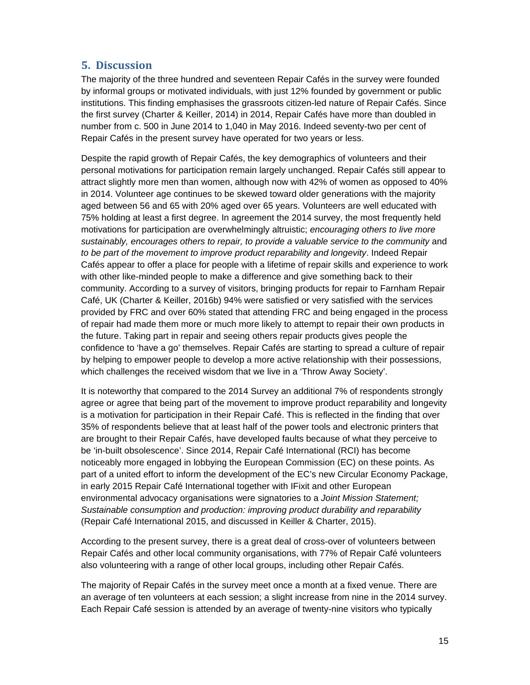# **5.** Discussion

The majority of the three hundred and seventeen Repair Cafés in the survey were founded by informal groups or motivated individuals, with just 12% founded by government or public institutions. This finding emphasises the grassroots citizen-led nature of Repair Cafés. Since the first survey (Charter & Keiller, 2014) in 2014, Repair Cafés have more than doubled in number from c. 500 in June 2014 to 1,040 in May 2016. Indeed seventy-two per cent of Repair Cafés in the present survey have operated for two years or less.

Despite the rapid growth of Repair Cafés, the key demographics of volunteers and their personal motivations for participation remain largely unchanged. Repair Cafés still appear to attract slightly more men than women, although now with 42% of women as opposed to 40% in 2014. Volunteer age continues to be skewed toward older generations with the majority aged between 56 and 65 with 20% aged over 65 years. Volunteers are well educated with 75% holding at least a first degree. In agreement the 2014 survey, the most frequently held motivations for participation are overwhelmingly altruistic; *encouraging others to live more*  sustainably, encourages others to repair, to provide a valuable service to the community and *to be part of the movement to improve product reparability and longevity*. Indeed Repair Cafés appear to offer a place for people with a lifetime of repair skills and experience to work with other like-minded people to make a difference and give something back to their community. According to a survey of visitors, bringing products for repair to Farnham Repair Café, UK (Charter & Keiller, 2016b) 94% were satisfied or very satisfied with the services provided by FRC and over 60% stated that attending FRC and being engaged in the process of repair had made them more or much more likely to attempt to repair their own products in the future. Taking part in repair and seeing others repair products gives people the confidence to 'have a go' themselves. Repair Cafés are starting to spread a culture of repair by helping to empower people to develop a more active relationship with their possessions, which challenges the received wisdom that we live in a 'Throw Away Society'.

It is noteworthy that compared to the 2014 Survey an additional 7% of respondents strongly agree or agree that being part of the movement to improve product reparability and longevity is a motivation for participation in their Repair Café. This is reflected in the finding that over 35% of respondents believe that at least half of the power tools and electronic printers that are brought to their Repair Cafés, have developed faults because of what they perceive to be 'in-built obsolescence'. Since 2014, Repair Café International (RCI) has become noticeably more engaged in lobbying the European Commission (EC) on these points. As part of a united effort to inform the development of the EC's new Circular Economy Package, in early 2015 Repair Café International together with IFixit and other European environmental advocacy organisations were signatories to a *Joint Mission Statement; Sustainable consumption and production: improving product durability and reparability* (Repair Café International 2015, and discussed in Keiller & Charter, 2015).

According to the present survey, there is a great deal of cross-over of volunteers between Repair Cafés and other local community organisations, with 77% of Repair Café volunteers also volunteering with a range of other local groups, including other Repair Cafés.

The majority of Repair Cafés in the survey meet once a month at a fixed venue. There are an average of ten volunteers at each session; a slight increase from nine in the 2014 survey. Each Repair Café session is attended by an average of twenty-nine visitors who typically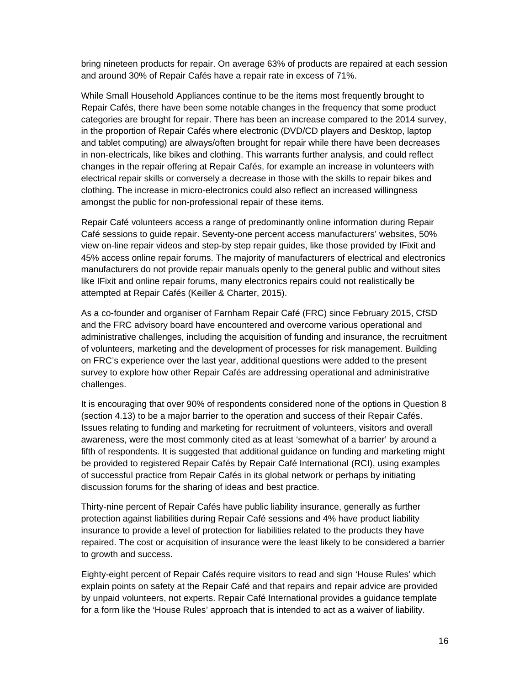bring nineteen products for repair. On average 63% of products are repaired at each session and around 30% of Repair Cafés have a repair rate in excess of 71%.

While Small Household Appliances continue to be the items most frequently brought to Repair Cafés, there have been some notable changes in the frequency that some product categories are brought for repair. There has been an increase compared to the 2014 survey, in the proportion of Repair Cafés where electronic (DVD/CD players and Desktop, laptop and tablet computing) are always/often brought for repair while there have been decreases in non-electricals, like bikes and clothing. This warrants further analysis, and could reflect changes in the repair offering at Repair Cafés, for example an increase in volunteers with electrical repair skills or conversely a decrease in those with the skills to repair bikes and clothing. The increase in micro-electronics could also reflect an increased willingness amongst the public for non-professional repair of these items.

Repair Café volunteers access a range of predominantly online information during Repair Café sessions to guide repair. Seventy-one percent access manufacturers' websites, 50% view on-line repair videos and step-by step repair guides, like those provided by IFixit and 45% access online repair forums. The majority of manufacturers of electrical and electronics manufacturers do not provide repair manuals openly to the general public and without sites like IFixit and online repair forums, many electronics repairs could not realistically be attempted at Repair Cafés (Keiller & Charter, 2015).

As a co-founder and organiser of Farnham Repair Café (FRC) since February 2015, CfSD and the FRC advisory board have encountered and overcome various operational and administrative challenges, including the acquisition of funding and insurance, the recruitment of volunteers, marketing and the development of processes for risk management. Building on FRC's experience over the last year, additional questions were added to the present survey to explore how other Repair Cafés are addressing operational and administrative challenges.

It is encouraging that over 90% of respondents considered none of the options in Question 8 (section 4.13) to be a major barrier to the operation and success of their Repair Cafés. Issues relating to funding and marketing for recruitment of volunteers, visitors and overall awareness, were the most commonly cited as at least 'somewhat of a barrier' by around a fifth of respondents. It is suggested that additional guidance on funding and marketing might be provided to registered Repair Cafés by Repair Café International (RCI), using examples of successful practice from Repair Cafés in its global network or perhaps by initiating discussion forums for the sharing of ideas and best practice.

Thirty-nine percent of Repair Cafés have public liability insurance, generally as further protection against liabilities during Repair Café sessions and 4% have product liability insurance to provide a level of protection for liabilities related to the products they have repaired. The cost or acquisition of insurance were the least likely to be considered a barrier to growth and success.

Eighty-eight percent of Repair Cafés require visitors to read and sign 'House Rules' which explain points on safety at the Repair Café and that repairs and repair advice are provided by unpaid volunteers, not experts. Repair Café International provides a guidance template for a form like the 'House Rules' approach that is intended to act as a waiver of liability.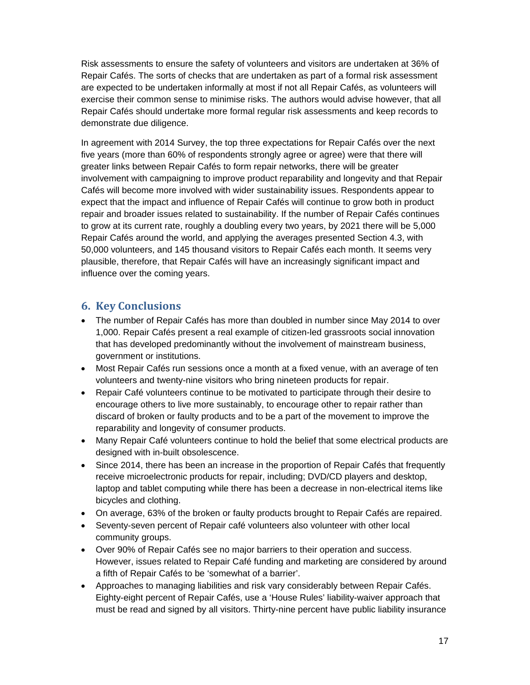Risk assessments to ensure the safety of volunteers and visitors are undertaken at 36% of Repair Cafés. The sorts of checks that are undertaken as part of a formal risk assessment are expected to be undertaken informally at most if not all Repair Cafés, as volunteers will exercise their common sense to minimise risks. The authors would advise however, that all Repair Cafés should undertake more formal regular risk assessments and keep records to demonstrate due diligence.

In agreement with 2014 Survey, the top three expectations for Repair Cafés over the next five years (more than 60% of respondents strongly agree or agree) were that there will greater links between Repair Cafés to form repair networks, there will be greater involvement with campaigning to improve product reparability and longevity and that Repair Cafés will become more involved with wider sustainability issues. Respondents appear to expect that the impact and influence of Repair Cafés will continue to grow both in product repair and broader issues related to sustainability. If the number of Repair Cafés continues to grow at its current rate, roughly a doubling every two years, by 2021 there will be 5,000 Repair Cafés around the world, and applying the averages presented Section 4.3, with 50,000 volunteers, and 145 thousand visitors to Repair Cafés each month. It seems very plausible, therefore, that Repair Cafés will have an increasingly significant impact and influence over the coming years.

#### **6. Key Conclusions**

- The number of Repair Cafés has more than doubled in number since May 2014 to over 1,000. Repair Cafés present a real example of citizen-led grassroots social innovation that has developed predominantly without the involvement of mainstream business, government or institutions.
- Most Repair Cafés run sessions once a month at a fixed venue, with an average of ten volunteers and twenty-nine visitors who bring nineteen products for repair.
- Repair Café volunteers continue to be motivated to participate through their desire to encourage others to live more sustainably, to encourage other to repair rather than discard of broken or faulty products and to be a part of the movement to improve the reparability and longevity of consumer products.
- Many Repair Café volunteers continue to hold the belief that some electrical products are designed with in-built obsolescence.
- Since 2014, there has been an increase in the proportion of Repair Cafés that frequently receive microelectronic products for repair, including; DVD/CD players and desktop, laptop and tablet computing while there has been a decrease in non-electrical items like bicycles and clothing.
- On average, 63% of the broken or faulty products brought to Repair Cafés are repaired.
- Seventy-seven percent of Repair café volunteers also volunteer with other local community groups.
- Over 90% of Repair Cafés see no major barriers to their operation and success. However, issues related to Repair Café funding and marketing are considered by around a fifth of Repair Cafés to be 'somewhat of a barrier'.
- Approaches to managing liabilities and risk vary considerably between Repair Cafés. Eighty-eight percent of Repair Cafés, use a 'House Rules' liability-waiver approach that must be read and signed by all visitors. Thirty-nine percent have public liability insurance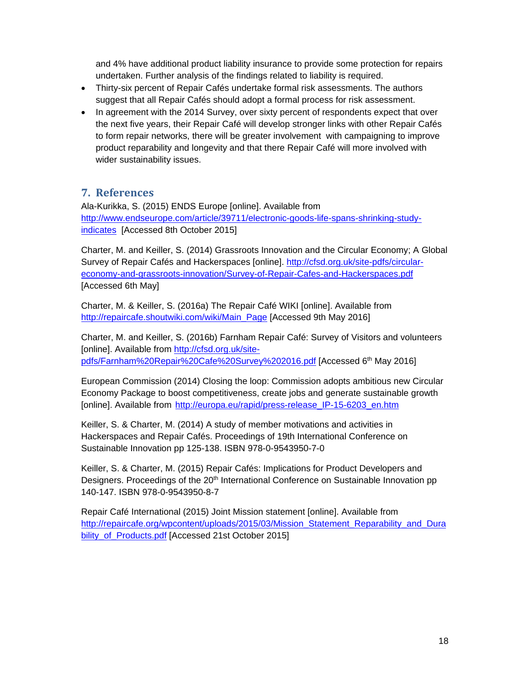and 4% have additional product liability insurance to provide some protection for repairs undertaken. Further analysis of the findings related to liability is required.

- Thirty-six percent of Repair Cafés undertake formal risk assessments. The authors suggest that all Repair Cafés should adopt a formal process for risk assessment.
- In agreement with the 2014 Survey, over sixty percent of respondents expect that over the next five years, their Repair Café will develop stronger links with other Repair Cafés to form repair networks, there will be greater involvement with campaigning to improve product reparability and longevity and that there Repair Café will more involved with wider sustainability issues.

# **7. References**

Ala-Kurikka, S. (2015) ENDS Europe [online]. Available from http://www.endseurope.com/article/39711/electronic-goods-life-spans-shrinking-studyindicates [Accessed 8th October 2015]

Charter, M. and Keiller, S. (2014) Grassroots Innovation and the Circular Economy; A Global Survey of Repair Cafés and Hackerspaces [online]. http://cfsd.org.uk/site-pdfs/circulareconomy-and-grassroots-innovation/Survey-of-Repair-Cafes-and-Hackerspaces.pdf [Accessed 6th May]

Charter, M. & Keiller, S. (2016a) The Repair Café WIKI [online]. Available from http://repaircafe.shoutwiki.com/wiki/Main\_Page [Accessed 9th May 2016]

Charter, M. and Keiller, S. (2016b) Farnham Repair Café: Survey of Visitors and volunteers [online]. Available from http://cfsd.org.uk/sitepdfs/Farnham%20Repair%20Cafe%20Survey%202016.pdf [Accessed 6<sup>th</sup> May 2016]

European Commission (2014) Closing the loop: Commission adopts ambitious new Circular Economy Package to boost competitiveness, create jobs and generate sustainable growth [online]. Available from http://europa.eu/rapid/press-release\_IP-15-6203\_en.htm

Keiller, S. & Charter, M. (2014) A study of member motivations and activities in Hackerspaces and Repair Cafés. Proceedings of 19th International Conference on Sustainable Innovation pp 125-138. ISBN 978-0-9543950-7-0

Keiller, S. & Charter, M. (2015) Repair Cafés: Implications for Product Developers and Designers. Proceedings of the 20<sup>th</sup> International Conference on Sustainable Innovation pp 140-147. ISBN 978-0-9543950-8-7

Repair Café International (2015) Joint Mission statement [online]. Available from http://repaircafe.org/wpcontent/uploads/2015/03/Mission\_Statement\_Reparability\_and\_Dura bility\_of\_Products.pdf [Accessed 21st October 2015]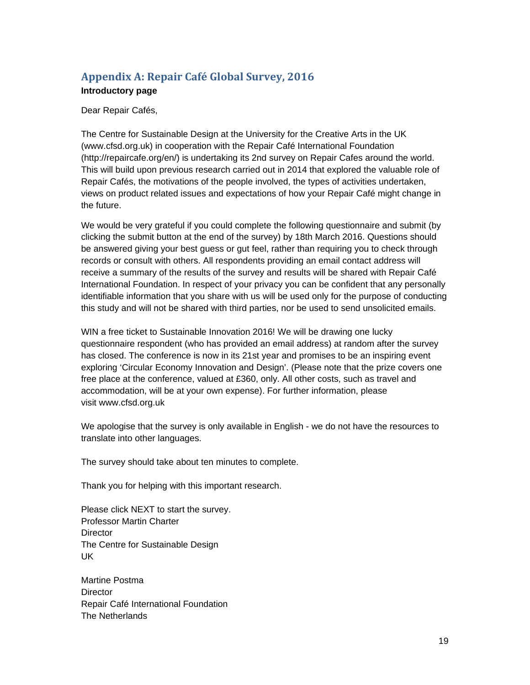# **Appendix A: Repair Café Global Survey, 2016 Introductory page**

Dear Repair Cafés,

The Centre for Sustainable Design at the University for the Creative Arts in the UK (www.cfsd.org.uk) in cooperation with the Repair Café International Foundation (http://repaircafe.org/en/) is undertaking its 2nd survey on Repair Cafes around the world. This will build upon previous research carried out in 2014 that explored the valuable role of Repair Cafés, the motivations of the people involved, the types of activities undertaken, views on product related issues and expectations of how your Repair Café might change in the future.

We would be very grateful if you could complete the following questionnaire and submit (by clicking the submit button at the end of the survey) by 18th March 2016. Questions should be answered giving your best guess or gut feel, rather than requiring you to check through records or consult with others. All respondents providing an email contact address will receive a summary of the results of the survey and results will be shared with Repair Café International Foundation. In respect of your privacy you can be confident that any personally identifiable information that you share with us will be used only for the purpose of conducting this study and will not be shared with third parties, nor be used to send unsolicited emails.

WIN a free ticket to Sustainable Innovation 2016! We will be drawing one lucky questionnaire respondent (who has provided an email address) at random after the survey has closed. The conference is now in its 21st year and promises to be an inspiring event exploring 'Circular Economy Innovation and Design'. (Please note that the prize covers one free place at the conference, valued at £360, only. All other costs, such as travel and accommodation, will be at your own expense). For further information, please visit www.cfsd.org.uk

We apologise that the survey is only available in English - we do not have the resources to translate into other languages.

The survey should take about ten minutes to complete.

Thank you for helping with this important research.

Please click NEXT to start the survey. Professor Martin Charter **Director** The Centre for Sustainable Design UK

Martine Postma **Director** Repair Café International Foundation The Netherlands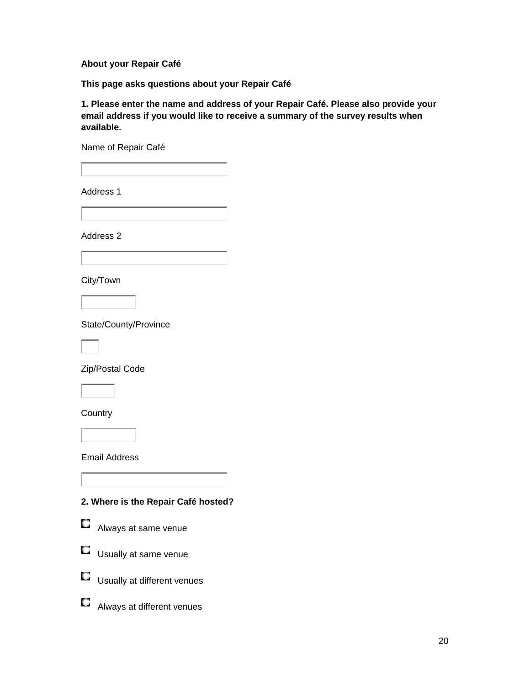#### **About your Repair Café**

**This page asks questions about your Repair Café** 

**1. Please enter the name and address of your Repair Café. Please also provide your email address if you would like to receive a summary of the survey results when available.** 

Name of Repair Café

Address 1

Address 2



State/County/Province

Zip/Postal Code

**Country** 

Email Address

**2. Where is the Repair Café hosted?** 



**E** Always at same venue





- Usually at different venues
- **E** Always at different venues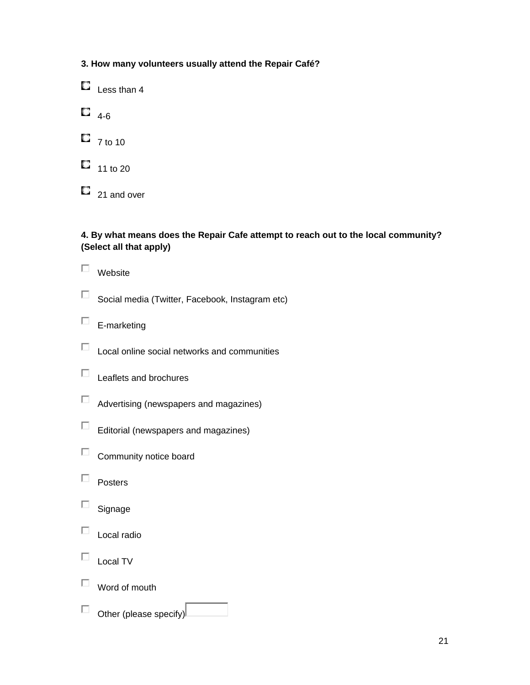# **3. How many volunteers usually attend the Repair Café?**

 $\Box$  Less than 4

 $\Box$  4-6

 $\Box$  7 to 10

 $\Box$  11 to 20

 $\Box$  21 and over

### **4. By what means does the Repair Cafe attempt to reach out to the local community? (Select all that apply)**

|  | Website                                         |
|--|-------------------------------------------------|
|  | Social media (Twitter, Facebook, Instagram etc) |
|  | E-marketing                                     |
|  | Local online social networks and communities    |
|  | Leaflets and brochures                          |
|  | Advertising (newspapers and magazines)          |
|  | Editorial (newspapers and magazines)            |
|  | Community notice board                          |
|  | Posters                                         |
|  | Signage                                         |
|  | Local radio                                     |
|  | Local TV                                        |

 $\Box$  Word of mouth

 $\Box$  Other (please specify)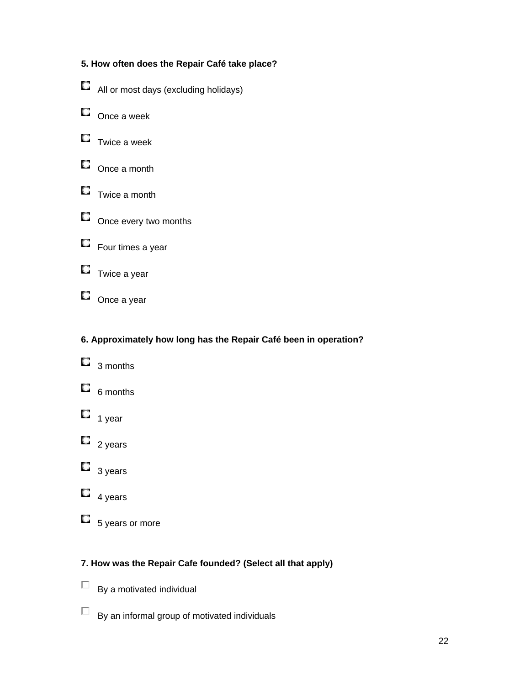# **5. How often does the Repair Café take place?**

- All or most days (excluding holidays)
- $\Box$  Once a week
- $\Box$  Twice a week
- $\Box$  Once a month
- $\Box$  Twice a month
- $\square$  Once every two months



# **6. Approximately how long has the Repair Café been in operation?**

- $\Box$  3 months  $\Box$  6 months
- $\Box$  1 year
- $\Box$  2 years
- $\Box$  3 years
- $\Box$  4 years
- $\Box$  5 years or more

# **7. How was the Repair Cafe founded? (Select all that apply)**

- $\Box$  By a motivated individual
- $\Box$  By an informal group of motivated individuals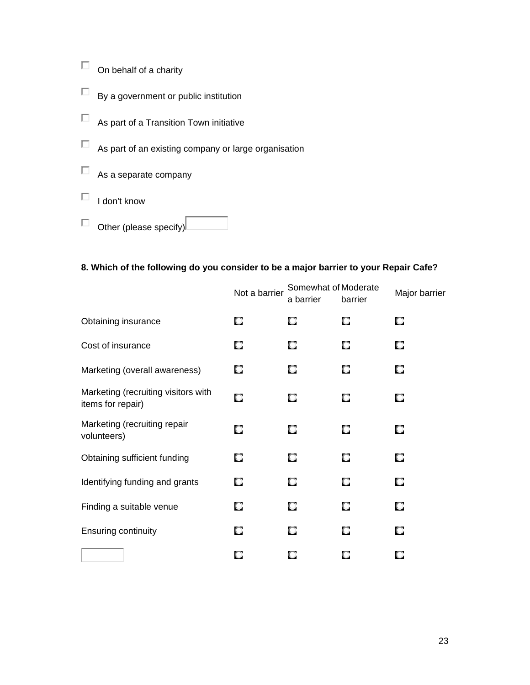$\Box$  On behalf of a charity  $\Box$  By a government or public institution  $\Box$  As part of a Transition Town initiative  $\Box$  As part of an existing company or large organisation

 $\Box$  As a separate company

 $\Box$  I don't know

 $\Box$  Other (please specify) $\Box$ 

## **8. Which of the following do you consider to be a major barrier to your Repair Cafe?**

|                                                          | Not a barrier | Somewhat of Moderate<br>a barrier | barrier | Major barrier |
|----------------------------------------------------------|---------------|-----------------------------------|---------|---------------|
| Obtaining insurance                                      | О             | О                                 | a       | О             |
| Cost of insurance                                        | о             | О                                 | О       | О             |
| Marketing (overall awareness)                            | о             | O.                                | O       | О             |
| Marketing (recruiting visitors with<br>items for repair) | О             | О                                 | О       | О             |
| Marketing (recruiting repair<br>volunteers)              | О             | О                                 | О       | О             |
| Obtaining sufficient funding                             | О             | О                                 | С       | О             |
| Identifying funding and grants                           | О             | О                                 | О       | О             |
| Finding a suitable venue                                 | О             | О                                 | О       | О             |
| <b>Ensuring continuity</b>                               | О             | О                                 | О       | О             |
|                                                          | U.            |                                   | L.      |               |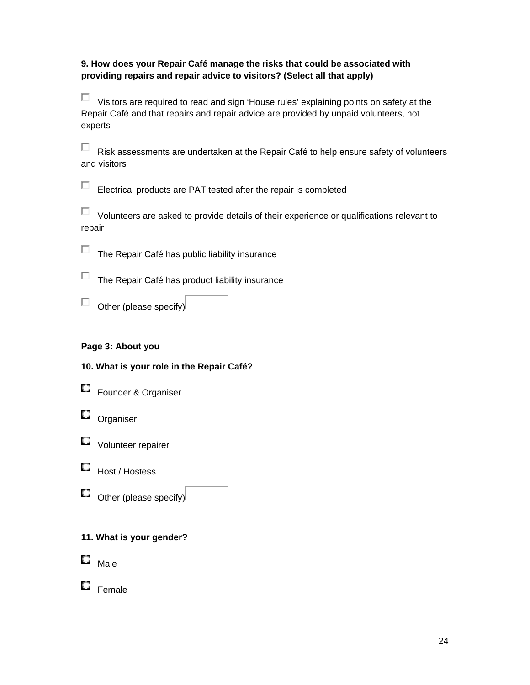#### **9. How does your Repair Café manage the risks that could be associated with providing repairs and repair advice to visitors? (Select all that apply)**

 $\Box$  Visitors are required to read and sign 'House rules' explaining points on safety at the Repair Café and that repairs and repair advice are provided by unpaid volunteers, not experts

 $\Box$  Risk assessments are undertaken at the Repair Café to help ensure safety of volunteers and visitors

Electrical products are PAT tested after the repair is completed

 $\Box$  Volunteers are asked to provide details of their experience or qualifications relevant to repair

 $\Box$  The Repair Café has public liability insurance

 $\Box$  The Repair Café has product liability insurance

 $\Box$  Other (please specify)

#### **Page 3: About you**

| 10. What is your role in the Repair Café? |  |  |  |  |  |  |  |  |  |
|-------------------------------------------|--|--|--|--|--|--|--|--|--|
|-------------------------------------------|--|--|--|--|--|--|--|--|--|



- **D** Organiser
- **D** Volunteer repairer
- **Host / Hostess**
- $\Box$  Other (please specify)

#### **11. What is your gender?**

 $\square$  Male

 $\Box$  Female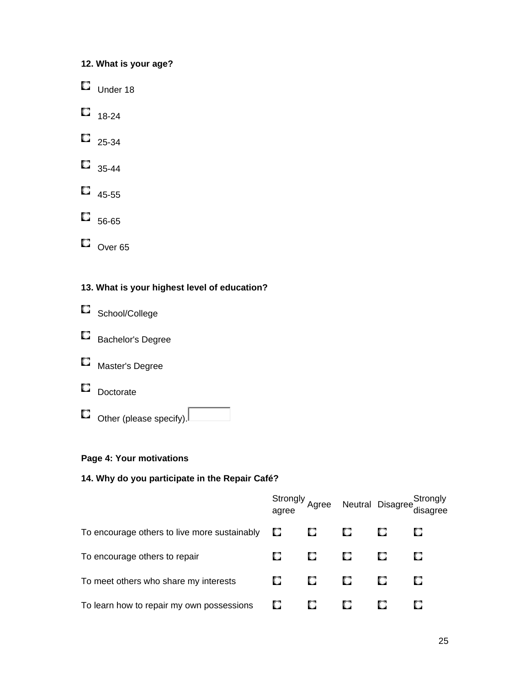# **12. What is your age?**

- Under 18
- $\Box$  18-24
- $\Box$  25-34
- $\Box$  35-44
- $\Box$  45-55
- $\Box$  56-65
- $\Box$  Over 65

# **13. What is your highest level of education?**

- School/College
- Bachelor's Degree
- **E** Master's Degree
- Doctorate
- $\Box$  Other (please specify).

# **Page 4: Your motivations**

# **14. Why do you participate in the Repair Café?**

|                                              |   |   |   | Strongly<br>agree Neutral Disagree disagree<br>disagree |
|----------------------------------------------|---|---|---|---------------------------------------------------------|
| To encourage others to live more sustainably | u | U |   | O                                                       |
| To encourage others to repair                | U |   | О | О                                                       |
| To meet others who share my interests        | U | ш | о | О                                                       |
| To learn how to repair my own possessions    | U |   |   |                                                         |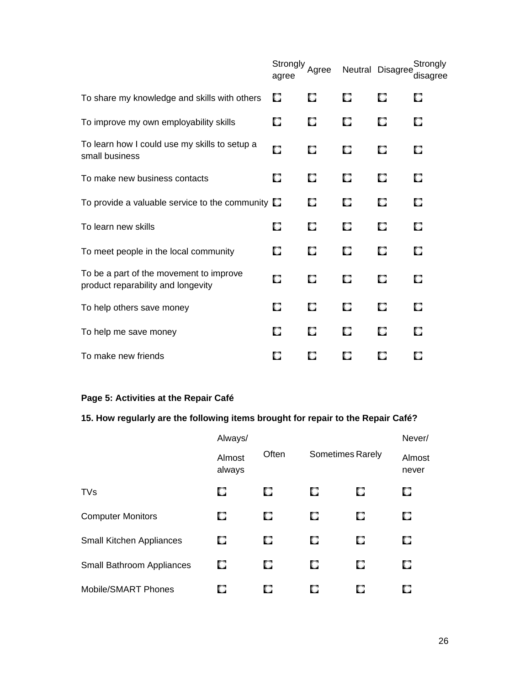|                                                                               | Strongly<br>agree | Agree |   | Neutral Disagree | Strongly<br>disagree |
|-------------------------------------------------------------------------------|-------------------|-------|---|------------------|----------------------|
| To share my knowledge and skills with others                                  | О                 | п     | O | O                | п                    |
| To improve my own employability skills                                        | О                 | o     | О | О                | О                    |
| To learn how I could use my skills to setup a<br>small business               | О                 | О     | О | О                | О                    |
| To make new business contacts                                                 | 0                 | О     | О | О                | o                    |
| To provide a valuable service to the community $\square$                      |                   | О     | o | О                | П                    |
| To learn new skills                                                           | О                 | О     | О | О                | О                    |
| To meet people in the local community                                         | О                 | О     | О | О                | U.                   |
| To be a part of the movement to improve<br>product reparability and longevity | О                 | O     | О | О                | О                    |
| To help others save money                                                     | o                 | О     | О | О                | О.                   |
| To help me save money                                                         | О                 | О     | О | О                | п                    |
| To make new friends                                                           | О                 | О     | О | О                | U.                   |

# **Page 5: Activities at the Repair Café**

# **15. How regularly are the following items brought for repair to the Repair Café?**

|                                  | Always/          |       |                         | Never/ |                 |
|----------------------------------|------------------|-------|-------------------------|--------|-----------------|
|                                  | Almost<br>always | Often | <b>Sometimes Rarely</b> |        | Almost<br>never |
| <b>TVs</b>                       | о                | О     | О                       | О      | О               |
| <b>Computer Monitors</b>         | O                | О     | u                       | О      | O               |
| Small Kitchen Appliances         | O                | О     | о                       | о      | О               |
| <b>Small Bathroom Appliances</b> | O                | О     | О                       | о      | O               |
| Mobile/SMART Phones              | О                | О     | u                       |        |                 |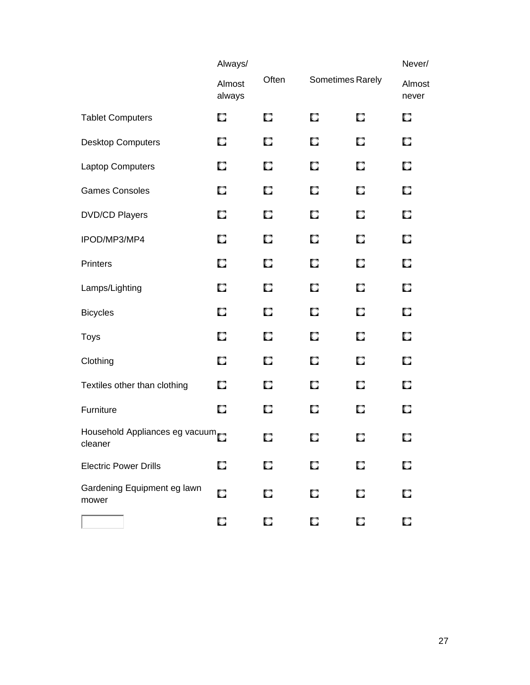|                                           | Always/          |       |                  |   | Never/          |
|-------------------------------------------|------------------|-------|------------------|---|-----------------|
|                                           | Almost<br>always | Often | Sometimes Rarely |   | Almost<br>never |
| <b>Tablet Computers</b>                   | O                | О     | О                | O | O               |
| <b>Desktop Computers</b>                  | О                | О     | O                | O | O               |
| Laptop Computers                          | О                | O     | О                | О | О               |
| <b>Games Consoles</b>                     | О                | O     | O                | О | O               |
| <b>DVD/CD Players</b>                     | O                | О     | O                | O | O               |
| IPOD/MP3/MP4                              | О                | O     | О                | О | О               |
| <b>Printers</b>                           | О                | O     | O                | О | O               |
| Lamps/Lighting                            | O                | O     | O                | О | O               |
| <b>Bicycles</b>                           | о                | O     | О                | О | О               |
| <b>Toys</b>                               | O                | О     | О                | О | O               |
| Clothing                                  | O                | O     | O                | О | O               |
| Textiles other than clothing              | O                | O     | O                | О | О               |
| Furniture                                 | O                | О     | О                | О | О               |
| Household Appliances eg vacuum<br>cleaner |                  | O     | О                | O | О               |
| <b>Electric Power Drills</b>              | u                | О     | O                |   | О               |
| Gardening Equipment eg lawn<br>mower      |                  |       |                  |   |                 |
|                                           | О                | O     | О                | О | О               |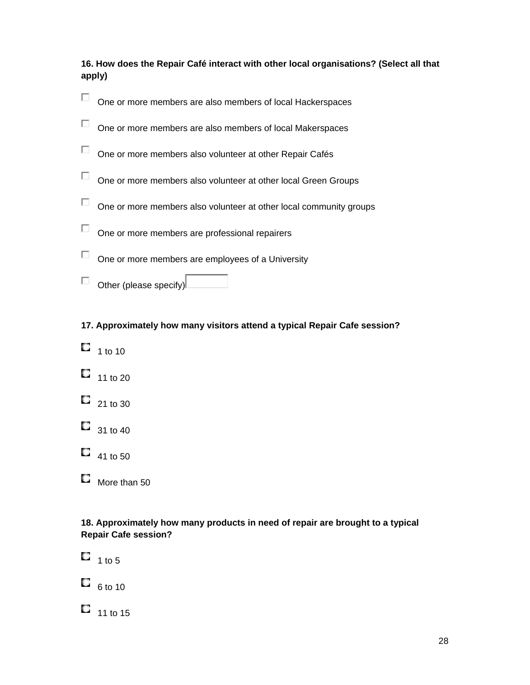**16. How does the Repair Café interact with other local organisations? (Select all that apply)** 



**17. Approximately how many visitors attend a typical Repair Cafe session?** 

- $\Box$  1 to 10
- $11 to 20$
- $\Box$  21 to 30
- $\Box$  31 to 40
- $\Box$  41 to 50
- More than 50

#### **18. Approximately how many products in need of repair are brought to a typical Repair Cafe session?**

 $\Box$  1 to 5

 $\Box$  6 to 10

 $\Box$  11 to 15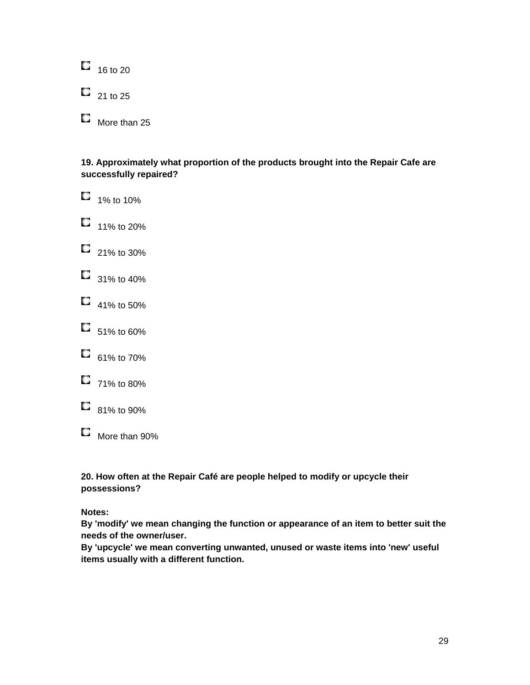$\Box$  16 to 20  $\Box$  21 to 25  $\Box$  More than 25

**19. Approximately what proportion of the products brought into the Repair Cafe are successfully repaired?** 

 $\Box$  1% to 10%  $\Box$  11% to 20%  $\Box$  21% to 30%  $\Box$  31% to 40%  $\Box$  41% to 50%  $\Box$  51% to 60%  $\Box$  61% to 70%  $\Box$  71% to 80%  $\Box$  81% to 90% More than 90%

**20. How often at the Repair Café are people helped to modify or upcycle their possessions?** 

**Notes:** 

**By 'modify' we mean changing the function or appearance of an item to better suit the needs of the owner/user.** 

**By 'upcycle' we mean converting unwanted, unused or waste items into 'new' useful items usually with a different function.**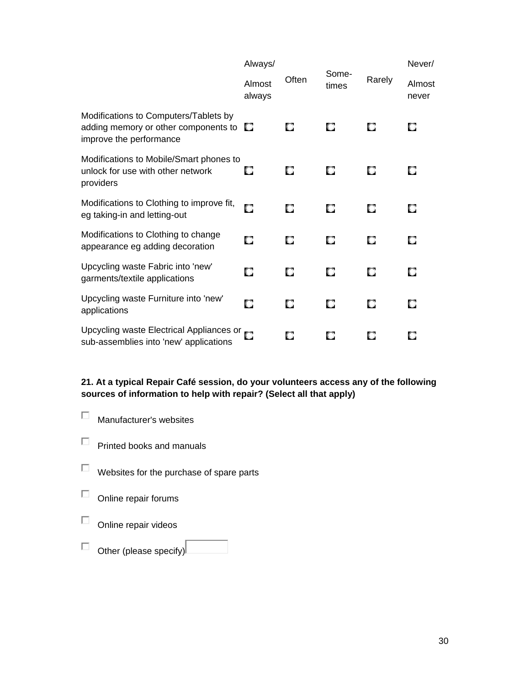|                                                                                                                    | Always/          |       |                |        | Never/          |
|--------------------------------------------------------------------------------------------------------------------|------------------|-------|----------------|--------|-----------------|
|                                                                                                                    | Almost<br>always | Often | Some-<br>times | Rarely | Almost<br>never |
| Modifications to Computers/Tablets by<br>adding memory or other components to $\square$<br>improve the performance |                  | О     | О              | О      | 0               |
| Modifications to Mobile/Smart phones to<br>unlock for use with other network<br>providers                          | о                | О     | O              | О      | 0               |
| Modifications to Clothing to improve fit,<br>eg taking-in and letting-out                                          | О                | О     | О              | О      | О               |
| Modifications to Clothing to change<br>appearance eg adding decoration                                             | О                | О     | О              | О      | О               |
| Upcycling waste Fabric into 'new'<br>garments/textile applications                                                 | О                | О     | О              | О      | О               |
| Upcycling waste Furniture into 'new'<br>applications                                                               | О                | О     | O              | O      | O               |
| Upcycling waste Electrical Appliances or C<br>sub-assemblies into 'new' applications                               |                  | О     | о              | Ο      | О               |

## **21. At a typical Repair Café session, do your volunteers access any of the following sources of information to help with repair? (Select all that apply)**

- Manufacturer's websites
- $\Box$  Printed books and manuals
- $\Box$  Websites for the purchase of spare parts
- $\square$  Online repair forums
- $\Box$  Online repair videos
- $\Box$  Other (please specify)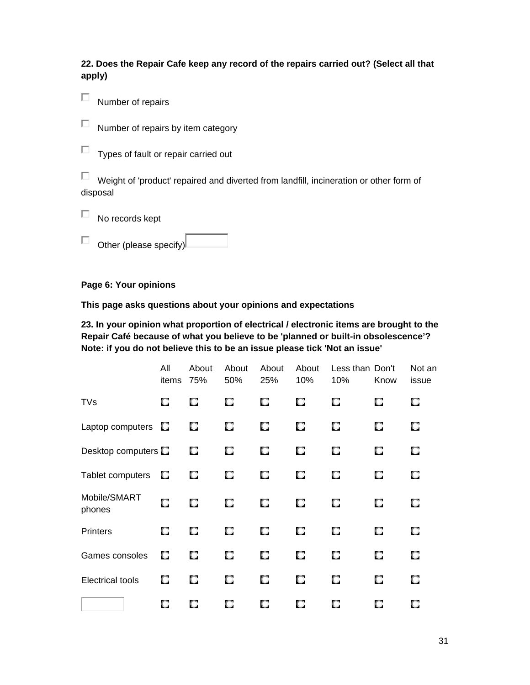**22. Does the Repair Cafe keep any record of the repairs carried out? (Select all that apply)** 

 $\Box$  Number of repairs

 $\Box$  Number of repairs by item category

 $\Box$  Types of fault or repair carried out

 $\Box$  Weight of 'product' repaired and diverted from landfill, incineration or other form of disposal

 $\Box$  No records kept

 $\Box$  Other (please specify)

**Page 6: Your opinions** 

**This page asks questions about your opinions and expectations** 

**23. In your opinion what proportion of electrical / electronic items are brought to the Repair Café because of what you believe to be 'planned or built-in obsolescence'? Note: if you do not believe this to be an issue please tick 'Not an issue'** 

|                            | All<br>items | About<br>75% | About<br>50% | About<br>25% | About<br>10% | Less than Don't<br>10% | Know | Not an<br>issue |
|----------------------------|--------------|--------------|--------------|--------------|--------------|------------------------|------|-----------------|
| <b>TVs</b>                 | O            | 0            | O            | О            | О            | О                      | О    | О               |
| Laptop computers           | O,           | О            | O.           | О            | О            | О                      | О    | О               |
| Desktop computers <b>D</b> |              | О            | О            | О            | О            | О                      | О    | О               |
| Tablet computers           | О            | О            | О            | О            | О            | О                      | О    | О               |
| Mobile/SMART<br>phones     | O            | О            | O            | О            | О            | О                      | О    | О               |
| <b>Printers</b>            | О            | О            | C.           | О            | О            | О                      | О    | О               |
| Games consoles             | О            | О            | О            | О            | О            | О                      | О    | О               |
| <b>Electrical tools</b>    | О            | О            | O.           | О            | О            | О                      | О    | О               |
|                            | О            | О            | О            | О            | О            | О                      | О    | О               |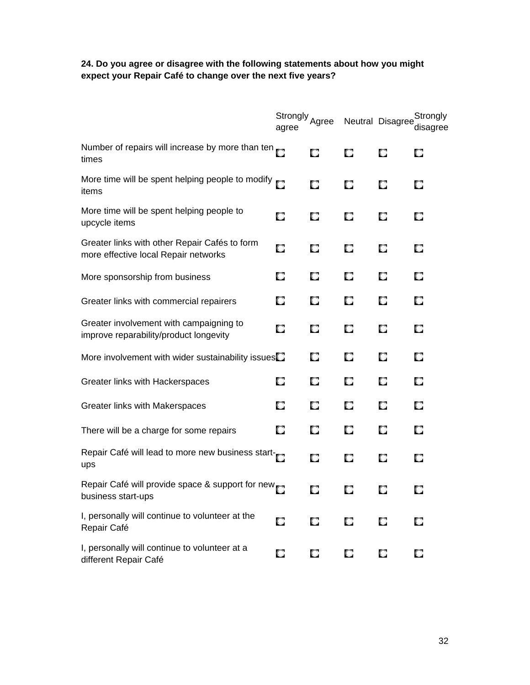#### **24. Do you agree or disagree with the following statements about how you might expect your Repair Café to change over the next five years?**

|                                                                                       | Strongly Agree<br>agree |   |   | Neutral Disagree | Strongly<br>disagree |
|---------------------------------------------------------------------------------------|-------------------------|---|---|------------------|----------------------|
| Number of repairs will increase by more than ten $_{\square}$<br>times                |                         | О | О | О                | О                    |
| More time will be spent helping people to modify<br>items                             |                         | О | О | О                | О                    |
| More time will be spent helping people to<br>upcycle items                            | О                       | О | О | О                | О                    |
| Greater links with other Repair Cafés to form<br>more effective local Repair networks | О                       | О | О | О                | О                    |
| More sponsorship from business                                                        | О                       | О | О | О                | О                    |
| Greater links with commercial repairers                                               | О                       | О | О | О                | о                    |
| Greater involvement with campaigning to<br>improve reparability/product longevity     | О                       | O | О | О                | О                    |
| More involvement with wider sustainability issues $\square$                           |                         | О | О | О                | О                    |
| Greater links with Hackerspaces                                                       | О                       | О | О | О                | О                    |
| Greater links with Makerspaces                                                        | О                       | О | O | O                | О                    |
| There will be a charge for some repairs                                               | О                       | О | O | О                | О                    |
| Repair Café will lead to more new business start-<br>ups                              |                         | О | О | о                | о                    |
| Repair Café will provide space & support for new<br>business start-ups                |                         | О | О | о                | O                    |
| I, personally will continue to volunteer at the<br>Repair Café                        | О                       | О | О | О                | О                    |
| I, personally will continue to volunteer at a<br>different Repair Café                | О                       | О | О | О                | о                    |